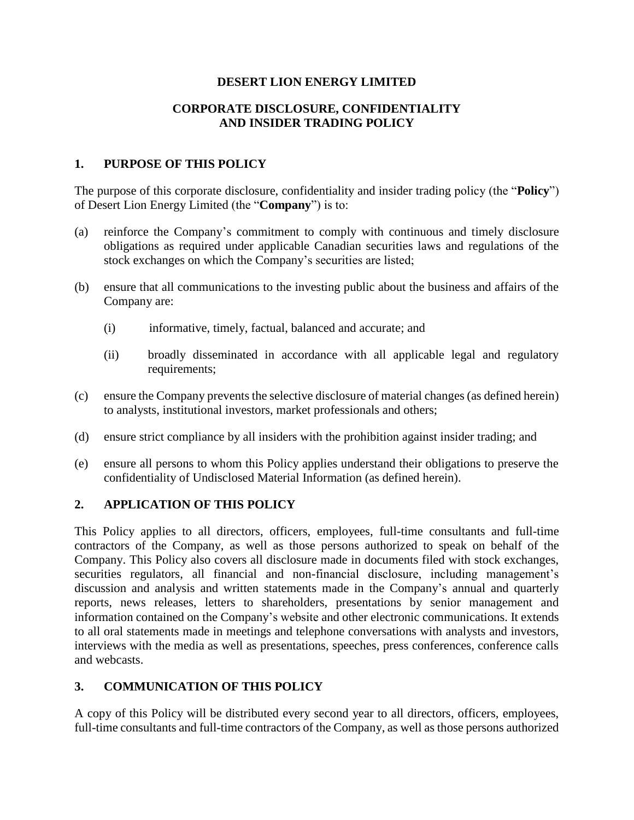## **DESERT LION ENERGY LIMITED**

## **CORPORATE DISCLOSURE, CONFIDENTIALITY AND INSIDER TRADING POLICY**

## **1. PURPOSE OF THIS POLICY**

The purpose of this corporate disclosure, confidentiality and insider trading policy (the "**Policy**") of Desert Lion Energy Limited (the "**Company**") is to:

- (a) reinforce the Company's commitment to comply with continuous and timely disclosure obligations as required under applicable Canadian securities laws and regulations of the stock exchanges on which the Company's securities are listed;
- (b) ensure that all communications to the investing public about the business and affairs of the Company are:
	- (i) informative, timely, factual, balanced and accurate; and
	- (ii) broadly disseminated in accordance with all applicable legal and regulatory requirements;
- (c) ensure the Company prevents the selective disclosure of material changes (as defined herein) to analysts, institutional investors, market professionals and others;
- (d) ensure strict compliance by all insiders with the prohibition against insider trading; and
- (e) ensure all persons to whom this Policy applies understand their obligations to preserve the confidentiality of Undisclosed Material Information (as defined herein).

## **2. APPLICATION OF THIS POLICY**

This Policy applies to all directors, officers, employees, full-time consultants and full-time contractors of the Company, as well as those persons authorized to speak on behalf of the Company. This Policy also covers all disclosure made in documents filed with stock exchanges, securities regulators, all financial and non-financial disclosure, including management's discussion and analysis and written statements made in the Company's annual and quarterly reports, news releases, letters to shareholders, presentations by senior management and information contained on the Company's website and other electronic communications. It extends to all oral statements made in meetings and telephone conversations with analysts and investors, interviews with the media as well as presentations, speeches, press conferences, conference calls and webcasts.

## **3. COMMUNICATION OF THIS POLICY**

A copy of this Policy will be distributed every second year to all directors, officers, employees, full-time consultants and full-time contractors of the Company, as well as those persons authorized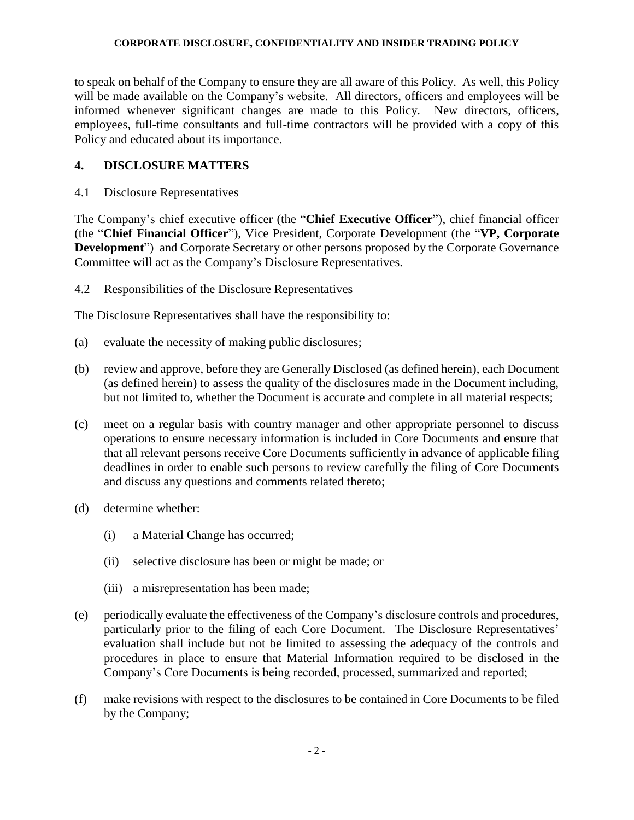to speak on behalf of the Company to ensure they are all aware of this Policy. As well, this Policy will be made available on the Company's website. All directors, officers and employees will be informed whenever significant changes are made to this Policy. New directors, officers, employees, full-time consultants and full-time contractors will be provided with a copy of this Policy and educated about its importance.

## **4. DISCLOSURE MATTERS**

### 4.1 Disclosure Representatives

The Company's chief executive officer (the "**Chief Executive Officer**"), chief financial officer (the "**Chief Financial Officer**"), Vice President, Corporate Development (the "**VP, Corporate Development**") and Corporate Secretary or other persons proposed by the Corporate Governance Committee will act as the Company's Disclosure Representatives.

## 4.2 Responsibilities of the Disclosure Representatives

The Disclosure Representatives shall have the responsibility to:

- (a) evaluate the necessity of making public disclosures;
- (b) review and approve, before they are Generally Disclosed (as defined herein), each Document (as defined herein) to assess the quality of the disclosures made in the Document including, but not limited to, whether the Document is accurate and complete in all material respects;
- (c) meet on a regular basis with country manager and other appropriate personnel to discuss operations to ensure necessary information is included in Core Documents and ensure that that all relevant persons receive Core Documents sufficiently in advance of applicable filing deadlines in order to enable such persons to review carefully the filing of Core Documents and discuss any questions and comments related thereto;
- (d) determine whether:
	- (i) a Material Change has occurred;
	- (ii) selective disclosure has been or might be made; or
	- (iii) a misrepresentation has been made;
- (e) periodically evaluate the effectiveness of the Company's disclosure controls and procedures, particularly prior to the filing of each Core Document. The Disclosure Representatives' evaluation shall include but not be limited to assessing the adequacy of the controls and procedures in place to ensure that Material Information required to be disclosed in the Company's Core Documents is being recorded, processed, summarized and reported;
- (f) make revisions with respect to the disclosures to be contained in Core Documents to be filed by the Company;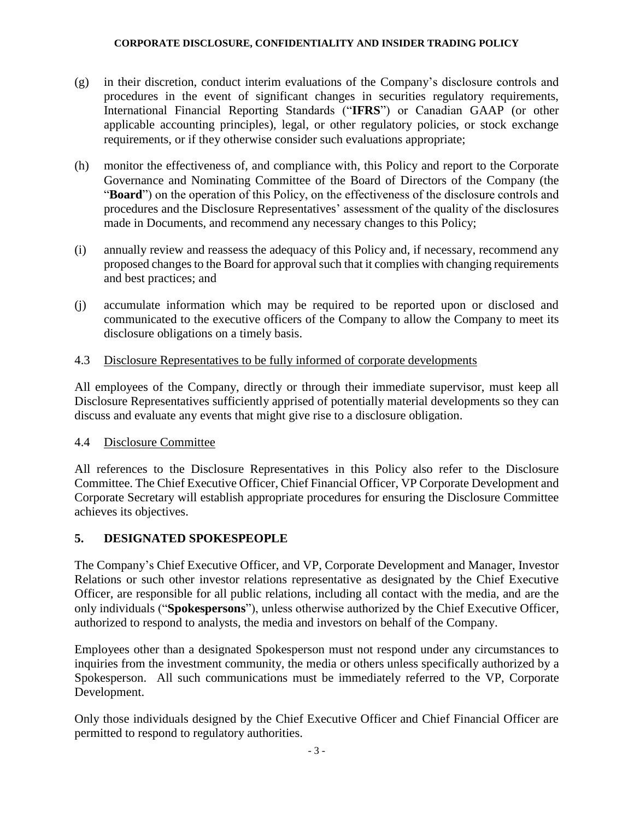- (g) in their discretion, conduct interim evaluations of the Company's disclosure controls and procedures in the event of significant changes in securities regulatory requirements, International Financial Reporting Standards ("**IFRS**") or Canadian GAAP (or other applicable accounting principles), legal, or other regulatory policies, or stock exchange requirements, or if they otherwise consider such evaluations appropriate;
- (h) monitor the effectiveness of, and compliance with, this Policy and report to the Corporate Governance and Nominating Committee of the Board of Directors of the Company (the "**Board**") on the operation of this Policy, on the effectiveness of the disclosure controls and procedures and the Disclosure Representatives' assessment of the quality of the disclosures made in Documents, and recommend any necessary changes to this Policy;
- (i) annually review and reassess the adequacy of this Policy and, if necessary, recommend any proposed changes to the Board for approval such that it complies with changing requirements and best practices; and
- (j) accumulate information which may be required to be reported upon or disclosed and communicated to the executive officers of the Company to allow the Company to meet its disclosure obligations on a timely basis.

## 4.3 Disclosure Representatives to be fully informed of corporate developments

All employees of the Company, directly or through their immediate supervisor, must keep all Disclosure Representatives sufficiently apprised of potentially material developments so they can discuss and evaluate any events that might give rise to a disclosure obligation.

## 4.4 Disclosure Committee

All references to the Disclosure Representatives in this Policy also refer to the Disclosure Committee. The Chief Executive Officer, Chief Financial Officer, VP Corporate Development and Corporate Secretary will establish appropriate procedures for ensuring the Disclosure Committee achieves its objectives.

## **5. DESIGNATED SPOKESPEOPLE**

The Company's Chief Executive Officer, and VP, Corporate Development and Manager, Investor Relations or such other investor relations representative as designated by the Chief Executive Officer, are responsible for all public relations, including all contact with the media, and are the only individuals ("**Spokespersons**"), unless otherwise authorized by the Chief Executive Officer, authorized to respond to analysts, the media and investors on behalf of the Company.

Employees other than a designated Spokesperson must not respond under any circumstances to inquiries from the investment community, the media or others unless specifically authorized by a Spokesperson. All such communications must be immediately referred to the VP, Corporate Development.

Only those individuals designed by the Chief Executive Officer and Chief Financial Officer are permitted to respond to regulatory authorities.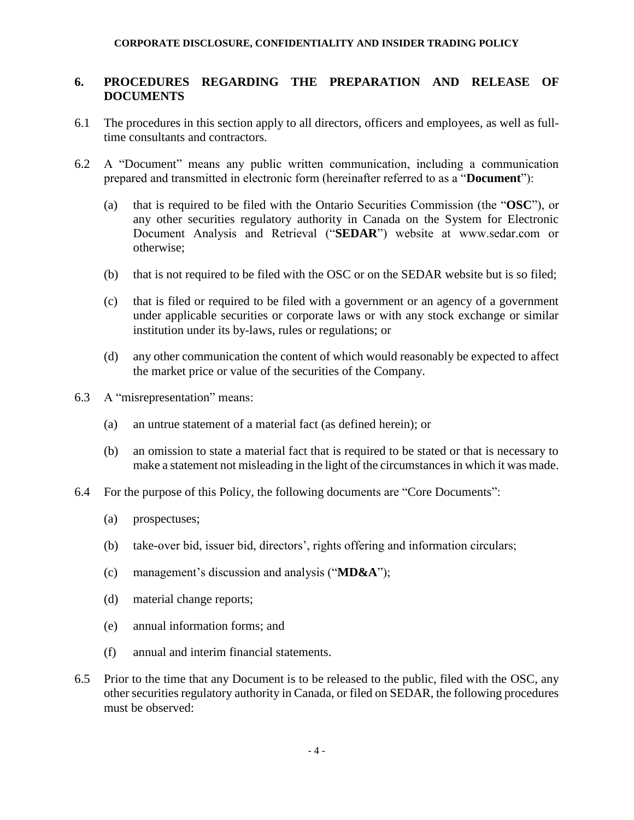## **6. PROCEDURES REGARDING THE PREPARATION AND RELEASE OF DOCUMENTS**

- 6.1 The procedures in this section apply to all directors, officers and employees, as well as fulltime consultants and contractors.
- 6.2 A "Document" means any public written communication, including a communication prepared and transmitted in electronic form (hereinafter referred to as a "**Document**"):
	- (a) that is required to be filed with the Ontario Securities Commission (the "**OSC**"), or any other securities regulatory authority in Canada on the System for Electronic Document Analysis and Retrieval ("**SEDAR**") website at www.sedar.com or otherwise;
	- (b) that is not required to be filed with the OSC or on the SEDAR website but is so filed;
	- (c) that is filed or required to be filed with a government or an agency of a government under applicable securities or corporate laws or with any stock exchange or similar institution under its by-laws, rules or regulations; or
	- (d) any other communication the content of which would reasonably be expected to affect the market price or value of the securities of the Company.
- 6.3 A "misrepresentation" means:
	- (a) an untrue statement of a material fact (as defined herein); or
	- (b) an omission to state a material fact that is required to be stated or that is necessary to make a statement not misleading in the light of the circumstances in which it was made.
- 6.4 For the purpose of this Policy, the following documents are "Core Documents":
	- (a) prospectuses;
	- (b) take-over bid, issuer bid, directors', rights offering and information circulars;
	- (c) management's discussion and analysis ("**MD&A**");
	- (d) material change reports;
	- (e) annual information forms; and
	- (f) annual and interim financial statements.
- 6.5 Prior to the time that any Document is to be released to the public, filed with the OSC, any other securities regulatory authority in Canada, or filed on SEDAR, the following procedures must be observed: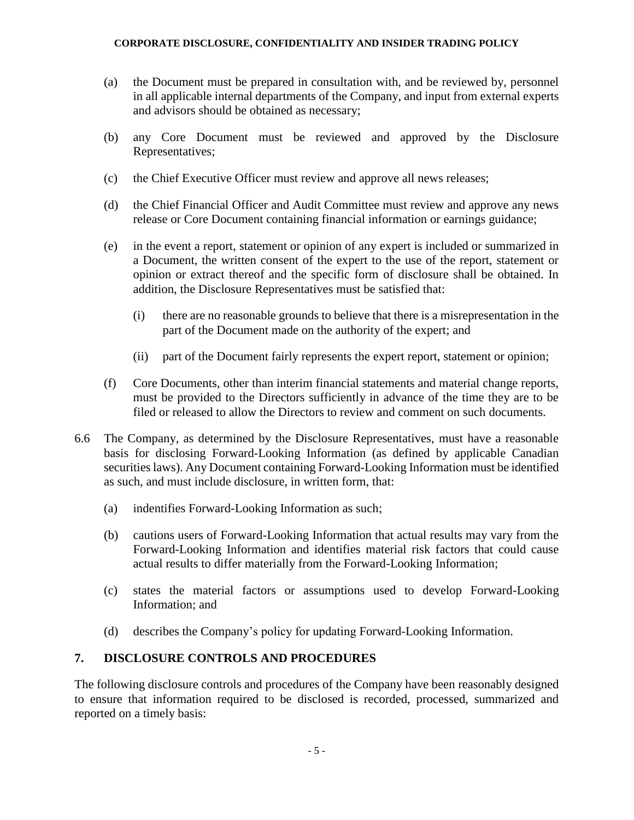- (a) the Document must be prepared in consultation with, and be reviewed by, personnel in all applicable internal departments of the Company, and input from external experts and advisors should be obtained as necessary;
- (b) any Core Document must be reviewed and approved by the Disclosure Representatives;
- (c) the Chief Executive Officer must review and approve all news releases;
- (d) the Chief Financial Officer and Audit Committee must review and approve any news release or Core Document containing financial information or earnings guidance;
- (e) in the event a report, statement or opinion of any expert is included or summarized in a Document, the written consent of the expert to the use of the report, statement or opinion or extract thereof and the specific form of disclosure shall be obtained. In addition, the Disclosure Representatives must be satisfied that:
	- (i) there are no reasonable grounds to believe that there is a misrepresentation in the part of the Document made on the authority of the expert; and
	- (ii) part of the Document fairly represents the expert report, statement or opinion;
- (f) Core Documents, other than interim financial statements and material change reports, must be provided to the Directors sufficiently in advance of the time they are to be filed or released to allow the Directors to review and comment on such documents.
- 6.6 The Company, as determined by the Disclosure Representatives, must have a reasonable basis for disclosing Forward-Looking Information (as defined by applicable Canadian securities laws). Any Document containing Forward-Looking Information must be identified as such, and must include disclosure, in written form, that:
	- (a) indentifies Forward-Looking Information as such;
	- (b) cautions users of Forward-Looking Information that actual results may vary from the Forward-Looking Information and identifies material risk factors that could cause actual results to differ materially from the Forward-Looking Information;
	- (c) states the material factors or assumptions used to develop Forward-Looking Information; and
	- (d) describes the Company's policy for updating Forward-Looking Information.

## **7. DISCLOSURE CONTROLS AND PROCEDURES**

The following disclosure controls and procedures of the Company have been reasonably designed to ensure that information required to be disclosed is recorded, processed, summarized and reported on a timely basis: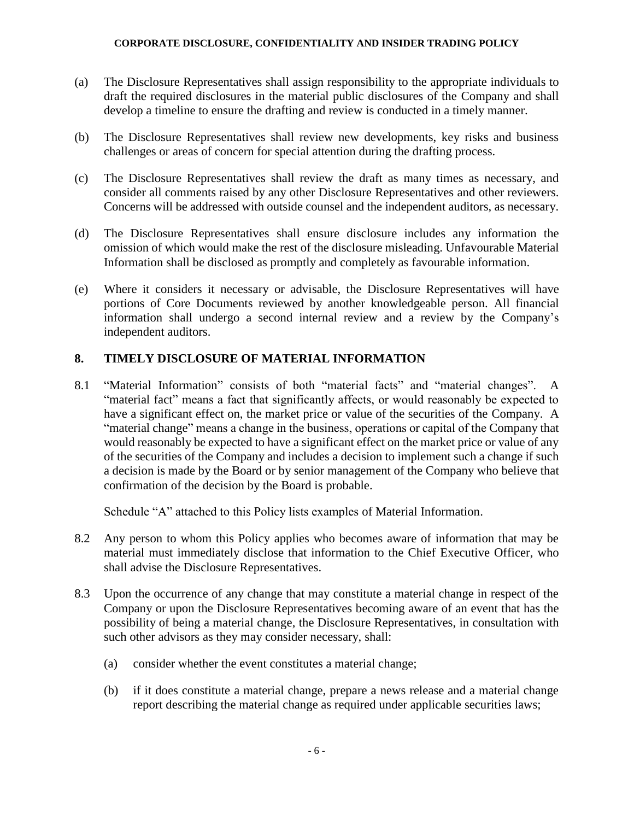- (a) The Disclosure Representatives shall assign responsibility to the appropriate individuals to draft the required disclosures in the material public disclosures of the Company and shall develop a timeline to ensure the drafting and review is conducted in a timely manner.
- (b) The Disclosure Representatives shall review new developments, key risks and business challenges or areas of concern for special attention during the drafting process.
- (c) The Disclosure Representatives shall review the draft as many times as necessary, and consider all comments raised by any other Disclosure Representatives and other reviewers. Concerns will be addressed with outside counsel and the independent auditors, as necessary.
- (d) The Disclosure Representatives shall ensure disclosure includes any information the omission of which would make the rest of the disclosure misleading. Unfavourable Material Information shall be disclosed as promptly and completely as favourable information.
- (e) Where it considers it necessary or advisable, the Disclosure Representatives will have portions of Core Documents reviewed by another knowledgeable person. All financial information shall undergo a second internal review and a review by the Company's independent auditors.

# **8. TIMELY DISCLOSURE OF MATERIAL INFORMATION**

8.1 "Material Information" consists of both "material facts" and "material changes". A "material fact" means a fact that significantly affects, or would reasonably be expected to have a significant effect on, the market price or value of the securities of the Company. A "material change" means a change in the business, operations or capital of the Company that would reasonably be expected to have a significant effect on the market price or value of any of the securities of the Company and includes a decision to implement such a change if such a decision is made by the Board or by senior management of the Company who believe that confirmation of the decision by the Board is probable.

Schedule "A" attached to this Policy lists examples of Material Information.

- 8.2 Any person to whom this Policy applies who becomes aware of information that may be material must immediately disclose that information to the Chief Executive Officer, who shall advise the Disclosure Representatives.
- 8.3 Upon the occurrence of any change that may constitute a material change in respect of the Company or upon the Disclosure Representatives becoming aware of an event that has the possibility of being a material change, the Disclosure Representatives, in consultation with such other advisors as they may consider necessary, shall:
	- (a) consider whether the event constitutes a material change;
	- (b) if it does constitute a material change, prepare a news release and a material change report describing the material change as required under applicable securities laws;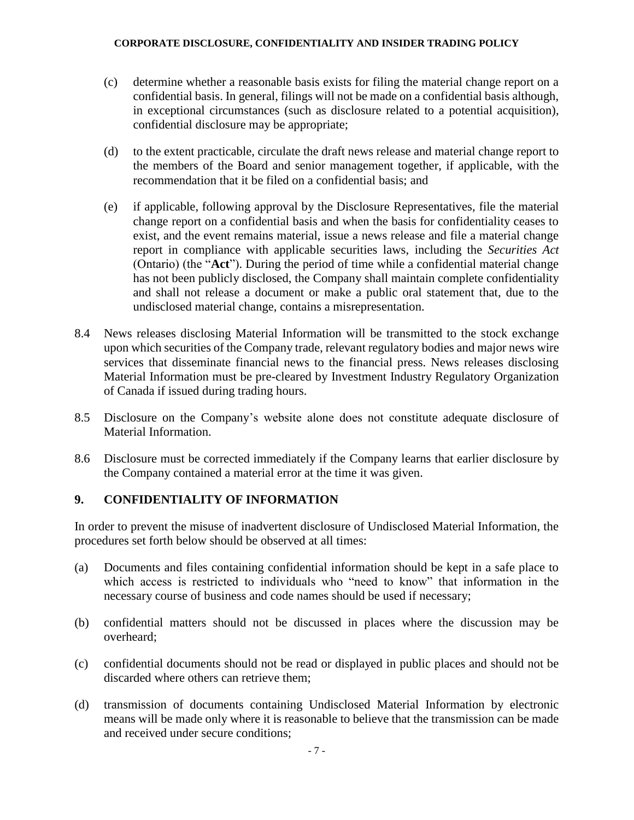- (c) determine whether a reasonable basis exists for filing the material change report on a confidential basis. In general, filings will not be made on a confidential basis although, in exceptional circumstances (such as disclosure related to a potential acquisition), confidential disclosure may be appropriate;
- (d) to the extent practicable, circulate the draft news release and material change report to the members of the Board and senior management together, if applicable, with the recommendation that it be filed on a confidential basis; and
- (e) if applicable, following approval by the Disclosure Representatives, file the material change report on a confidential basis and when the basis for confidentiality ceases to exist, and the event remains material, issue a news release and file a material change report in compliance with applicable securities laws, including the *Securities Act* (Ontario) (the "**Act**"). During the period of time while a confidential material change has not been publicly disclosed, the Company shall maintain complete confidentiality and shall not release a document or make a public oral statement that, due to the undisclosed material change, contains a misrepresentation.
- 8.4 News releases disclosing Material Information will be transmitted to the stock exchange upon which securities of the Company trade, relevant regulatory bodies and major news wire services that disseminate financial news to the financial press. News releases disclosing Material Information must be pre-cleared by Investment Industry Regulatory Organization of Canada if issued during trading hours.
- 8.5 Disclosure on the Company's website alone does not constitute adequate disclosure of Material Information.
- 8.6 Disclosure must be corrected immediately if the Company learns that earlier disclosure by the Company contained a material error at the time it was given.

### **9. CONFIDENTIALITY OF INFORMATION**

In order to prevent the misuse of inadvertent disclosure of Undisclosed Material Information, the procedures set forth below should be observed at all times:

- (a) Documents and files containing confidential information should be kept in a safe place to which access is restricted to individuals who "need to know" that information in the necessary course of business and code names should be used if necessary;
- (b) confidential matters should not be discussed in places where the discussion may be overheard;
- (c) confidential documents should not be read or displayed in public places and should not be discarded where others can retrieve them;
- (d) transmission of documents containing Undisclosed Material Information by electronic means will be made only where it is reasonable to believe that the transmission can be made and received under secure conditions;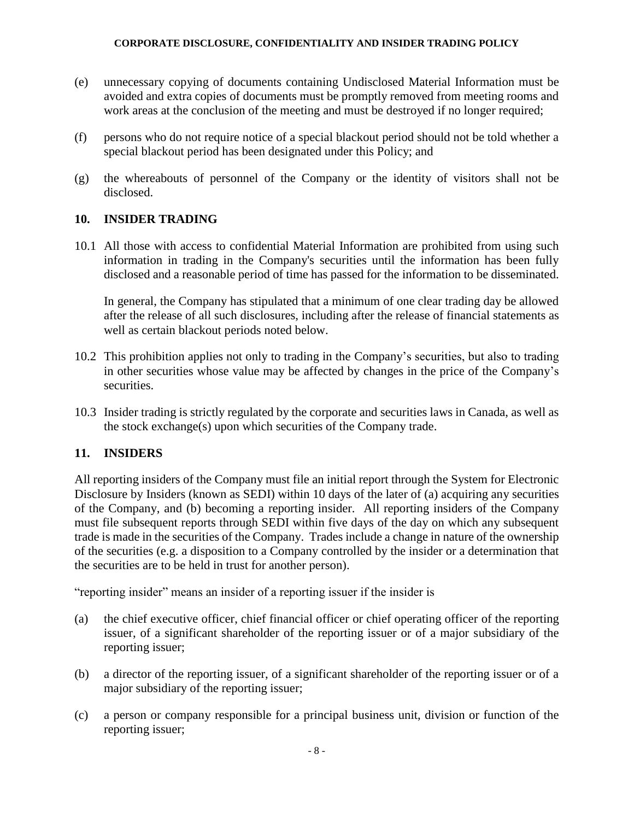- (e) unnecessary copying of documents containing Undisclosed Material Information must be avoided and extra copies of documents must be promptly removed from meeting rooms and work areas at the conclusion of the meeting and must be destroyed if no longer required;
- (f) persons who do not require notice of a special blackout period should not be told whether a special blackout period has been designated under this Policy; and
- (g) the whereabouts of personnel of the Company or the identity of visitors shall not be disclosed.

# **10. INSIDER TRADING**

10.1 All those with access to confidential Material Information are prohibited from using such information in trading in the Company's securities until the information has been fully disclosed and a reasonable period of time has passed for the information to be disseminated.

In general, the Company has stipulated that a minimum of one clear trading day be allowed after the release of all such disclosures, including after the release of financial statements as well as certain blackout periods noted below.

- 10.2 This prohibition applies not only to trading in the Company's securities, but also to trading in other securities whose value may be affected by changes in the price of the Company's securities.
- 10.3 Insider trading is strictly regulated by the corporate and securities laws in Canada, as well as the stock exchange(s) upon which securities of the Company trade.

# **11. INSIDERS**

All reporting insiders of the Company must file an initial report through the System for Electronic Disclosure by Insiders (known as SEDI) within 10 days of the later of (a) acquiring any securities of the Company, and (b) becoming a reporting insider. All reporting insiders of the Company must file subsequent reports through SEDI within five days of the day on which any subsequent trade is made in the securities of the Company. Trades include a change in nature of the ownership of the securities (e.g. a disposition to a Company controlled by the insider or a determination that the securities are to be held in trust for another person).

"reporting insider" means an insider of a reporting issuer if the insider is

- (a) the chief executive officer, chief financial officer or chief operating officer of the reporting issuer, of a significant shareholder of the reporting issuer or of a major subsidiary of the reporting issuer;
- (b) a director of the reporting issuer, of a significant shareholder of the reporting issuer or of a major subsidiary of the reporting issuer;
- (c) a person or company responsible for a principal business unit, division or function of the reporting issuer;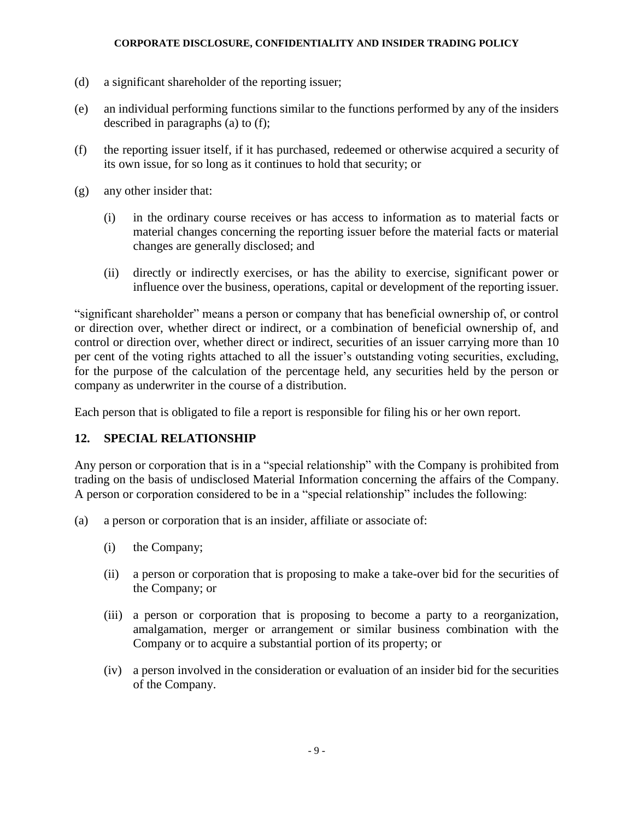- (d) a significant shareholder of the reporting issuer;
- (e) an individual performing functions similar to the functions performed by any of the insiders described in paragraphs (a) to (f);
- (f) the reporting issuer itself, if it has purchased, redeemed or otherwise acquired a security of its own issue, for so long as it continues to hold that security; or
- (g) any other insider that:
	- (i) in the ordinary course receives or has access to information as to material facts or material changes concerning the reporting issuer before the material facts or material changes are generally disclosed; and
	- (ii) directly or indirectly exercises, or has the ability to exercise, significant power or influence over the business, operations, capital or development of the reporting issuer.

"significant shareholder" means a person or company that has beneficial ownership of, or control or direction over, whether direct or indirect, or a combination of beneficial ownership of, and control or direction over, whether direct or indirect, securities of an issuer carrying more than 10 per cent of the voting rights attached to all the issuer's outstanding voting securities, excluding, for the purpose of the calculation of the percentage held, any securities held by the person or company as underwriter in the course of a distribution.

Each person that is obligated to file a report is responsible for filing his or her own report.

## **12. SPECIAL RELATIONSHIP**

Any person or corporation that is in a "special relationship" with the Company is prohibited from trading on the basis of undisclosed Material Information concerning the affairs of the Company. A person or corporation considered to be in a "special relationship" includes the following:

- (a) a person or corporation that is an insider, affiliate or associate of:
	- (i) the Company;
	- (ii) a person or corporation that is proposing to make a take-over bid for the securities of the Company; or
	- (iii) a person or corporation that is proposing to become a party to a reorganization, amalgamation, merger or arrangement or similar business combination with the Company or to acquire a substantial portion of its property; or
	- (iv) a person involved in the consideration or evaluation of an insider bid for the securities of the Company.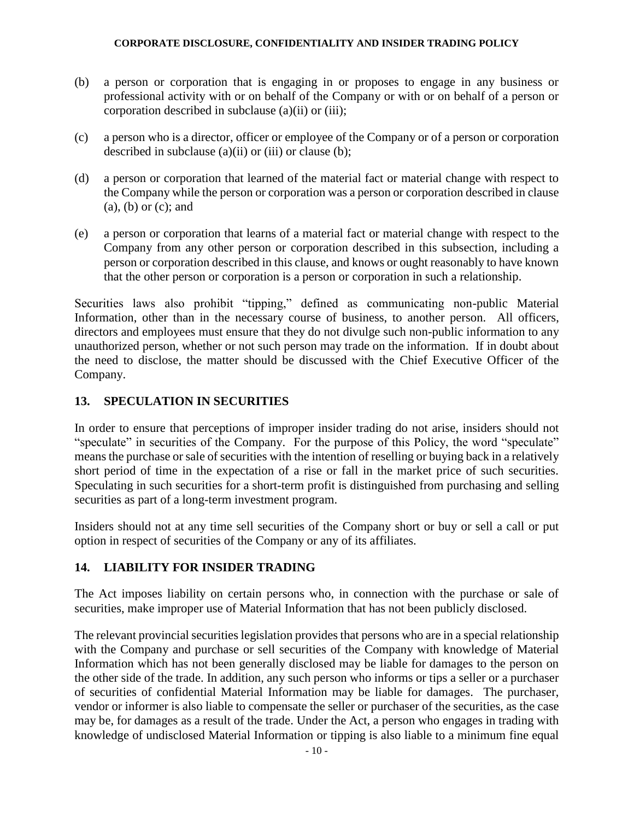- (b) a person or corporation that is engaging in or proposes to engage in any business or professional activity with or on behalf of the Company or with or on behalf of a person or corporation described in subclause (a)(ii) or (iii);
- (c) a person who is a director, officer or employee of the Company or of a person or corporation described in subclause (a)(ii) or (iii) or clause (b);
- (d) a person or corporation that learned of the material fact or material change with respect to the Company while the person or corporation was a person or corporation described in clause (a), (b) or (c); and
- (e) a person or corporation that learns of a material fact or material change with respect to the Company from any other person or corporation described in this subsection, including a person or corporation described in this clause, and knows or ought reasonably to have known that the other person or corporation is a person or corporation in such a relationship.

Securities laws also prohibit "tipping," defined as communicating non-public Material Information, other than in the necessary course of business, to another person. All officers, directors and employees must ensure that they do not divulge such non-public information to any unauthorized person, whether or not such person may trade on the information. If in doubt about the need to disclose, the matter should be discussed with the Chief Executive Officer of the Company.

# **13. SPECULATION IN SECURITIES**

In order to ensure that perceptions of improper insider trading do not arise, insiders should not "speculate" in securities of the Company. For the purpose of this Policy, the word "speculate" means the purchase or sale of securities with the intention of reselling or buying back in a relatively short period of time in the expectation of a rise or fall in the market price of such securities. Speculating in such securities for a short-term profit is distinguished from purchasing and selling securities as part of a long-term investment program.

Insiders should not at any time sell securities of the Company short or buy or sell a call or put option in respect of securities of the Company or any of its affiliates.

# **14. LIABILITY FOR INSIDER TRADING**

The Act imposes liability on certain persons who, in connection with the purchase or sale of securities, make improper use of Material Information that has not been publicly disclosed.

The relevant provincial securities legislation provides that persons who are in a special relationship with the Company and purchase or sell securities of the Company with knowledge of Material Information which has not been generally disclosed may be liable for damages to the person on the other side of the trade. In addition, any such person who informs or tips a seller or a purchaser of securities of confidential Material Information may be liable for damages. The purchaser, vendor or informer is also liable to compensate the seller or purchaser of the securities, as the case may be, for damages as a result of the trade. Under the Act, a person who engages in trading with knowledge of undisclosed Material Information or tipping is also liable to a minimum fine equal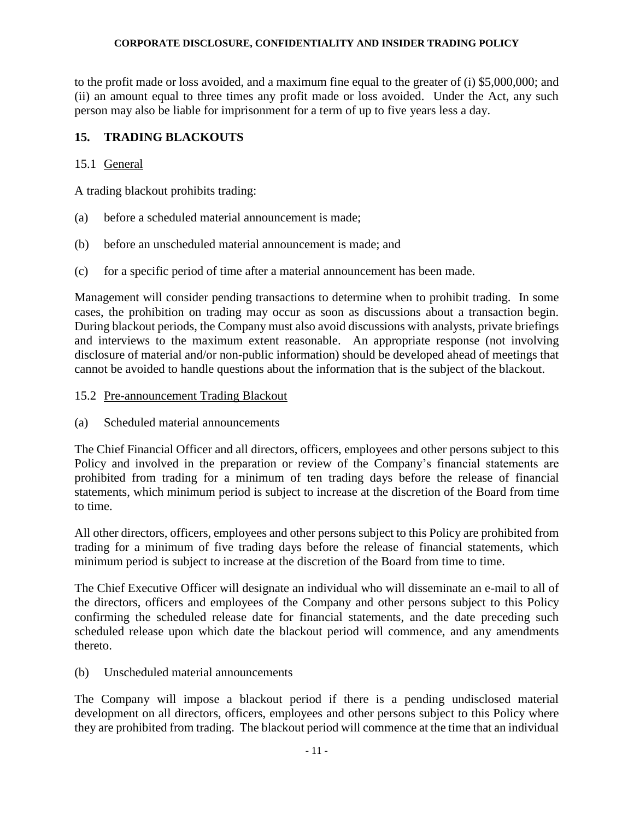to the profit made or loss avoided, and a maximum fine equal to the greater of (i) \$5,000,000; and (ii) an amount equal to three times any profit made or loss avoided. Under the Act, any such person may also be liable for imprisonment for a term of up to five years less a day.

# **15. TRADING BLACKOUTS**

## 15.1 General

A trading blackout prohibits trading:

- (a) before a scheduled material announcement is made;
- (b) before an unscheduled material announcement is made; and
- (c) for a specific period of time after a material announcement has been made.

Management will consider pending transactions to determine when to prohibit trading. In some cases, the prohibition on trading may occur as soon as discussions about a transaction begin. During blackout periods, the Company must also avoid discussions with analysts, private briefings and interviews to the maximum extent reasonable. An appropriate response (not involving disclosure of material and/or non-public information) should be developed ahead of meetings that cannot be avoided to handle questions about the information that is the subject of the blackout.

- 15.2 Pre-announcement Trading Blackout
- (a) Scheduled material announcements

The Chief Financial Officer and all directors, officers, employees and other persons subject to this Policy and involved in the preparation or review of the Company's financial statements are prohibited from trading for a minimum of ten trading days before the release of financial statements, which minimum period is subject to increase at the discretion of the Board from time to time.

All other directors, officers, employees and other persons subject to this Policy are prohibited from trading for a minimum of five trading days before the release of financial statements, which minimum period is subject to increase at the discretion of the Board from time to time.

The Chief Executive Officer will designate an individual who will disseminate an e-mail to all of the directors, officers and employees of the Company and other persons subject to this Policy confirming the scheduled release date for financial statements, and the date preceding such scheduled release upon which date the blackout period will commence, and any amendments thereto.

(b) Unscheduled material announcements

The Company will impose a blackout period if there is a pending undisclosed material development on all directors, officers, employees and other persons subject to this Policy where they are prohibited from trading. The blackout period will commence at the time that an individual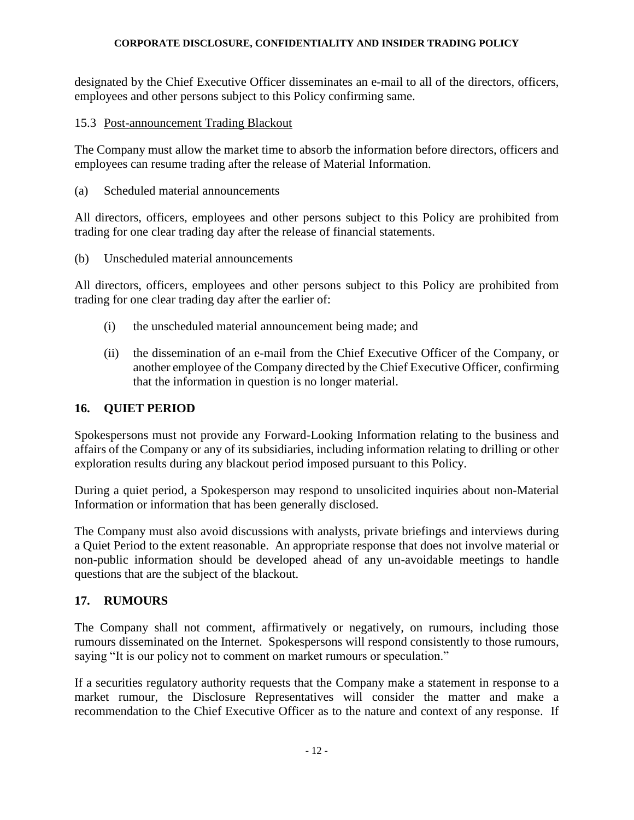designated by the Chief Executive Officer disseminates an e-mail to all of the directors, officers, employees and other persons subject to this Policy confirming same.

## 15.3 Post-announcement Trading Blackout

The Company must allow the market time to absorb the information before directors, officers and employees can resume trading after the release of Material Information.

(a) Scheduled material announcements

All directors, officers, employees and other persons subject to this Policy are prohibited from trading for one clear trading day after the release of financial statements.

(b) Unscheduled material announcements

All directors, officers, employees and other persons subject to this Policy are prohibited from trading for one clear trading day after the earlier of:

- (i) the unscheduled material announcement being made; and
- (ii) the dissemination of an e-mail from the Chief Executive Officer of the Company, or another employee of the Company directed by the Chief Executive Officer, confirming that the information in question is no longer material.

## **16. QUIET PERIOD**

Spokespersons must not provide any Forward-Looking Information relating to the business and affairs of the Company or any of its subsidiaries, including information relating to drilling or other exploration results during any blackout period imposed pursuant to this Policy.

During a quiet period, a Spokesperson may respond to unsolicited inquiries about non-Material Information or information that has been generally disclosed.

The Company must also avoid discussions with analysts, private briefings and interviews during a Quiet Period to the extent reasonable. An appropriate response that does not involve material or non-public information should be developed ahead of any un-avoidable meetings to handle questions that are the subject of the blackout.

## **17. RUMOURS**

The Company shall not comment, affirmatively or negatively, on rumours, including those rumours disseminated on the Internet. Spokespersons will respond consistently to those rumours, saying "It is our policy not to comment on market rumours or speculation."

If a securities regulatory authority requests that the Company make a statement in response to a market rumour, the Disclosure Representatives will consider the matter and make a recommendation to the Chief Executive Officer as to the nature and context of any response. If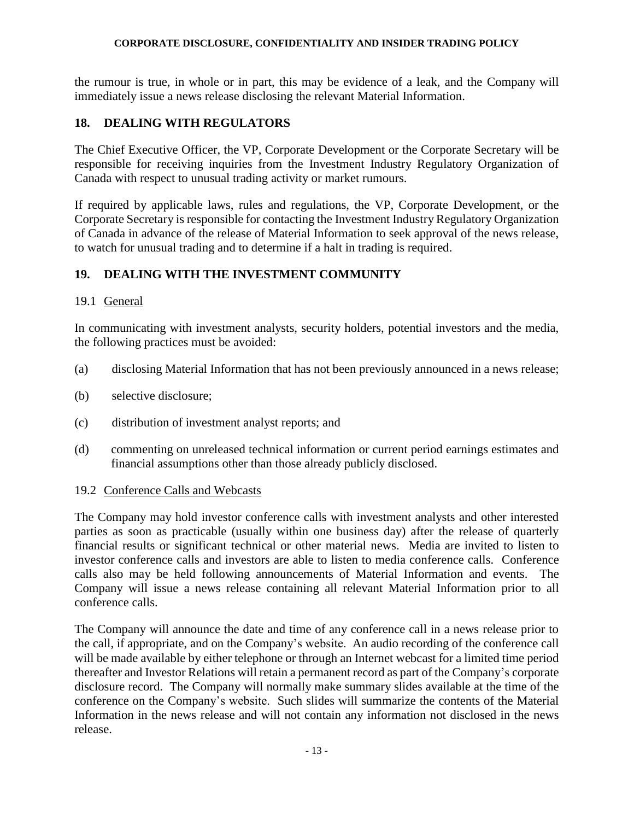the rumour is true, in whole or in part, this may be evidence of a leak, and the Company will immediately issue a news release disclosing the relevant Material Information.

# **18. DEALING WITH REGULATORS**

The Chief Executive Officer, the VP, Corporate Development or the Corporate Secretary will be responsible for receiving inquiries from the Investment Industry Regulatory Organization of Canada with respect to unusual trading activity or market rumours.

If required by applicable laws, rules and regulations, the VP, Corporate Development, or the Corporate Secretary is responsible for contacting the Investment Industry Regulatory Organization of Canada in advance of the release of Material Information to seek approval of the news release, to watch for unusual trading and to determine if a halt in trading is required.

# **19. DEALING WITH THE INVESTMENT COMMUNITY**

## 19.1 General

In communicating with investment analysts, security holders, potential investors and the media, the following practices must be avoided:

- (a) disclosing Material Information that has not been previously announced in a news release;
- (b) selective disclosure;
- (c) distribution of investment analyst reports; and
- (d) commenting on unreleased technical information or current period earnings estimates and financial assumptions other than those already publicly disclosed.

### 19.2 Conference Calls and Webcasts

The Company may hold investor conference calls with investment analysts and other interested parties as soon as practicable (usually within one business day) after the release of quarterly financial results or significant technical or other material news. Media are invited to listen to investor conference calls and investors are able to listen to media conference calls. Conference calls also may be held following announcements of Material Information and events. The Company will issue a news release containing all relevant Material Information prior to all conference calls.

The Company will announce the date and time of any conference call in a news release prior to the call, if appropriate, and on the Company's website. An audio recording of the conference call will be made available by either telephone or through an Internet webcast for a limited time period thereafter and Investor Relations will retain a permanent record as part of the Company's corporate disclosure record. The Company will normally make summary slides available at the time of the conference on the Company's website. Such slides will summarize the contents of the Material Information in the news release and will not contain any information not disclosed in the news release.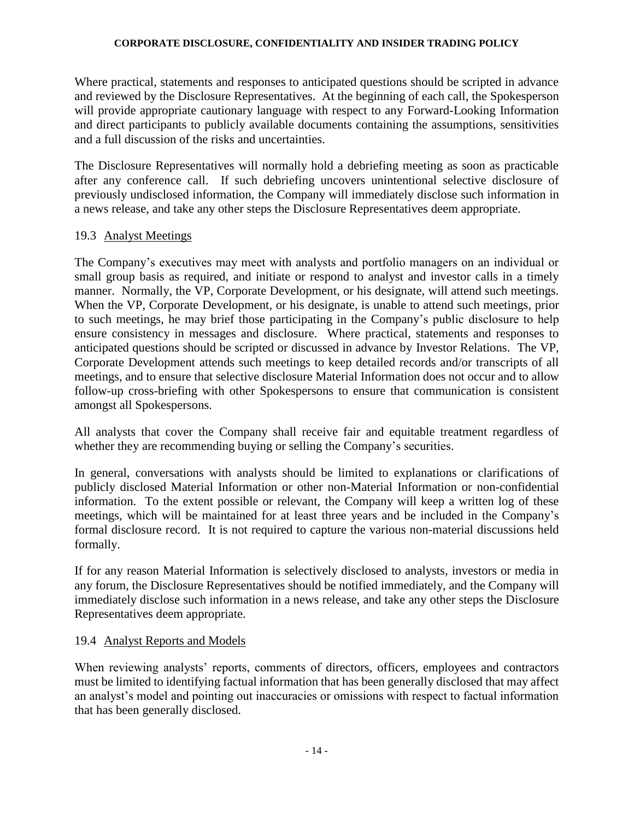Where practical, statements and responses to anticipated questions should be scripted in advance and reviewed by the Disclosure Representatives. At the beginning of each call, the Spokesperson will provide appropriate cautionary language with respect to any Forward-Looking Information and direct participants to publicly available documents containing the assumptions, sensitivities and a full discussion of the risks and uncertainties.

The Disclosure Representatives will normally hold a debriefing meeting as soon as practicable after any conference call. If such debriefing uncovers unintentional selective disclosure of previously undisclosed information, the Company will immediately disclose such information in a news release, and take any other steps the Disclosure Representatives deem appropriate.

## 19.3 Analyst Meetings

The Company's executives may meet with analysts and portfolio managers on an individual or small group basis as required, and initiate or respond to analyst and investor calls in a timely manner. Normally, the VP, Corporate Development, or his designate, will attend such meetings. When the VP, Corporate Development, or his designate, is unable to attend such meetings, prior to such meetings, he may brief those participating in the Company's public disclosure to help ensure consistency in messages and disclosure. Where practical, statements and responses to anticipated questions should be scripted or discussed in advance by Investor Relations. The VP, Corporate Development attends such meetings to keep detailed records and/or transcripts of all meetings, and to ensure that selective disclosure Material Information does not occur and to allow follow-up cross-briefing with other Spokespersons to ensure that communication is consistent amongst all Spokespersons.

All analysts that cover the Company shall receive fair and equitable treatment regardless of whether they are recommending buying or selling the Company's securities.

In general, conversations with analysts should be limited to explanations or clarifications of publicly disclosed Material Information or other non-Material Information or non-confidential information. To the extent possible or relevant, the Company will keep a written log of these meetings, which will be maintained for at least three years and be included in the Company's formal disclosure record. It is not required to capture the various non-material discussions held formally.

If for any reason Material Information is selectively disclosed to analysts, investors or media in any forum, the Disclosure Representatives should be notified immediately, and the Company will immediately disclose such information in a news release, and take any other steps the Disclosure Representatives deem appropriate.

## 19.4 Analyst Reports and Models

When reviewing analysts' reports, comments of directors, officers, employees and contractors must be limited to identifying factual information that has been generally disclosed that may affect an analyst's model and pointing out inaccuracies or omissions with respect to factual information that has been generally disclosed.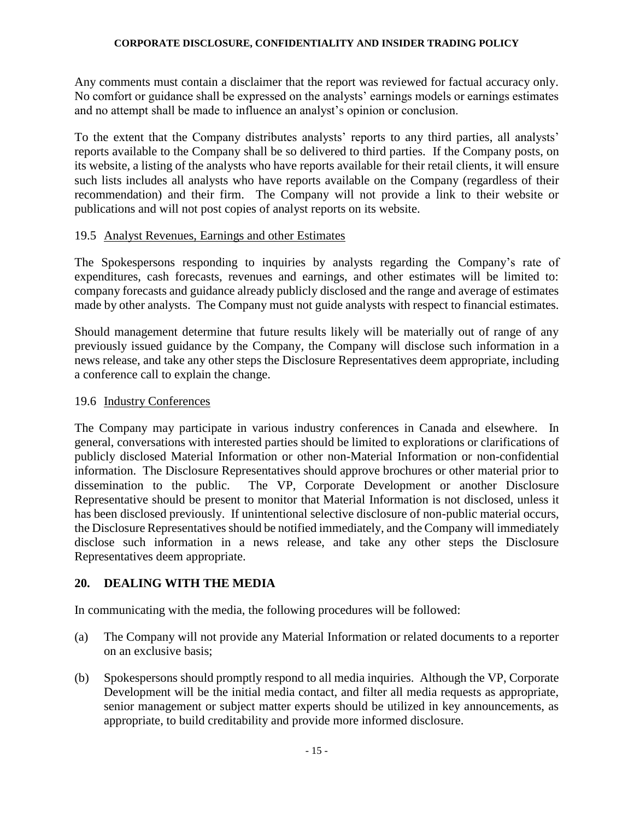Any comments must contain a disclaimer that the report was reviewed for factual accuracy only. No comfort or guidance shall be expressed on the analysts' earnings models or earnings estimates and no attempt shall be made to influence an analyst's opinion or conclusion.

To the extent that the Company distributes analysts' reports to any third parties, all analysts' reports available to the Company shall be so delivered to third parties. If the Company posts, on its website, a listing of the analysts who have reports available for their retail clients, it will ensure such lists includes all analysts who have reports available on the Company (regardless of their recommendation) and their firm. The Company will not provide a link to their website or publications and will not post copies of analyst reports on its website.

## 19.5 Analyst Revenues, Earnings and other Estimates

The Spokespersons responding to inquiries by analysts regarding the Company's rate of expenditures, cash forecasts, revenues and earnings, and other estimates will be limited to: company forecasts and guidance already publicly disclosed and the range and average of estimates made by other analysts. The Company must not guide analysts with respect to financial estimates.

Should management determine that future results likely will be materially out of range of any previously issued guidance by the Company, the Company will disclose such information in a news release, and take any other steps the Disclosure Representatives deem appropriate, including a conference call to explain the change.

## 19.6 Industry Conferences

The Company may participate in various industry conferences in Canada and elsewhere. In general, conversations with interested parties should be limited to explorations or clarifications of publicly disclosed Material Information or other non-Material Information or non-confidential information. The Disclosure Representatives should approve brochures or other material prior to dissemination to the public. The VP, Corporate Development or another Disclosure Representative should be present to monitor that Material Information is not disclosed, unless it has been disclosed previously. If unintentional selective disclosure of non-public material occurs, the Disclosure Representatives should be notified immediately, and the Company will immediately disclose such information in a news release, and take any other steps the Disclosure Representatives deem appropriate.

## **20. DEALING WITH THE MEDIA**

In communicating with the media, the following procedures will be followed:

- (a) The Company will not provide any Material Information or related documents to a reporter on an exclusive basis;
- (b) Spokespersons should promptly respond to all media inquiries. Although the VP, Corporate Development will be the initial media contact, and filter all media requests as appropriate, senior management or subject matter experts should be utilized in key announcements, as appropriate, to build creditability and provide more informed disclosure.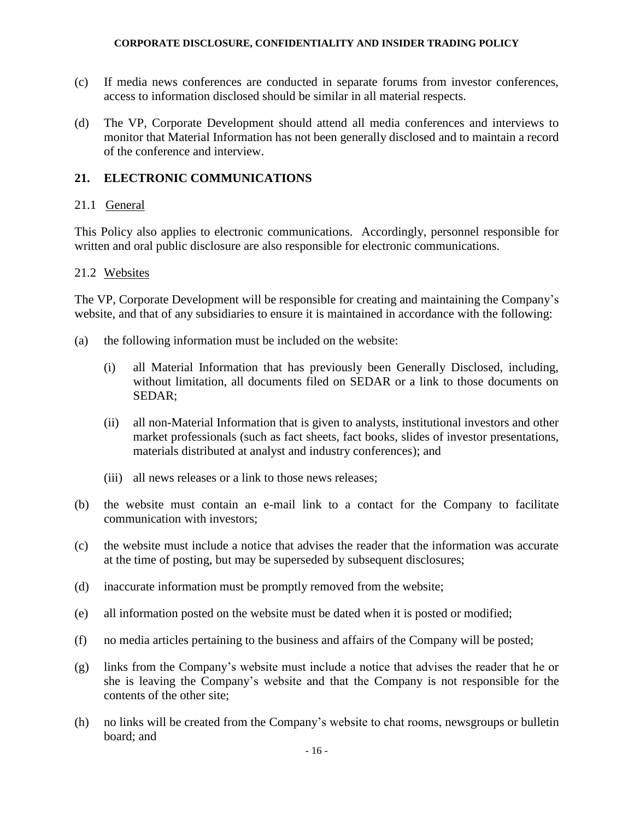- (c) If media news conferences are conducted in separate forums from investor conferences, access to information disclosed should be similar in all material respects.
- (d) The VP, Corporate Development should attend all media conferences and interviews to monitor that Material Information has not been generally disclosed and to maintain a record of the conference and interview.

### **21. ELECTRONIC COMMUNICATIONS**

### 21.1 General

This Policy also applies to electronic communications. Accordingly, personnel responsible for written and oral public disclosure are also responsible for electronic communications.

### 21.2 Websites

The VP, Corporate Development will be responsible for creating and maintaining the Company's website, and that of any subsidiaries to ensure it is maintained in accordance with the following:

- (a) the following information must be included on the website:
	- (i) all Material Information that has previously been Generally Disclosed, including, without limitation, all documents filed on SEDAR or a link to those documents on SEDAR;
	- (ii) all non-Material Information that is given to analysts, institutional investors and other market professionals (such as fact sheets, fact books, slides of investor presentations, materials distributed at analyst and industry conferences); and
	- (iii) all news releases or a link to those news releases;
- (b) the website must contain an e-mail link to a contact for the Company to facilitate communication with investors;
- (c) the website must include a notice that advises the reader that the information was accurate at the time of posting, but may be superseded by subsequent disclosures;
- (d) inaccurate information must be promptly removed from the website;
- (e) all information posted on the website must be dated when it is posted or modified;
- (f) no media articles pertaining to the business and affairs of the Company will be posted;
- (g) links from the Company's website must include a notice that advises the reader that he or she is leaving the Company's website and that the Company is not responsible for the contents of the other site;
- (h) no links will be created from the Company's website to chat rooms, newsgroups or bulletin board; and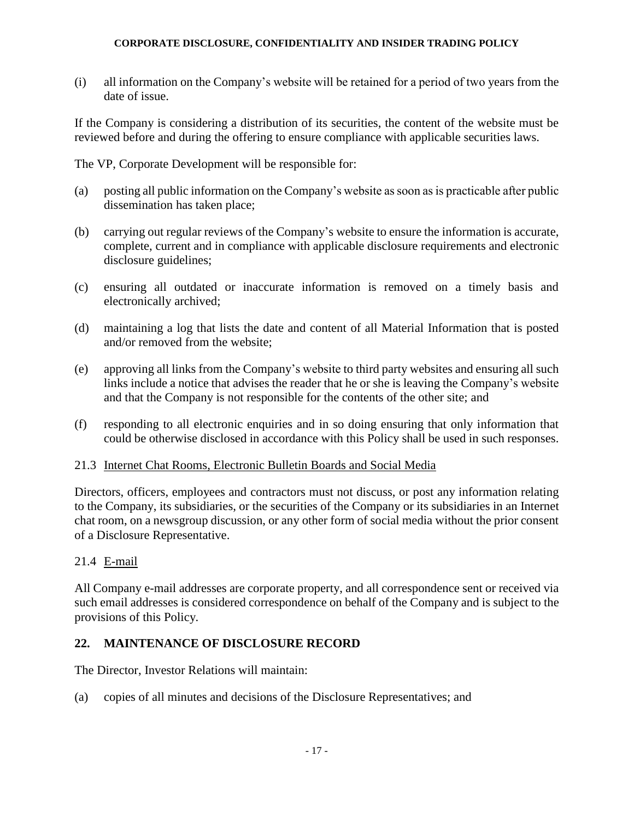(i) all information on the Company's website will be retained for a period of two years from the date of issue.

If the Company is considering a distribution of its securities, the content of the website must be reviewed before and during the offering to ensure compliance with applicable securities laws.

The VP, Corporate Development will be responsible for:

- (a) posting all public information on the Company's website as soon as is practicable after public dissemination has taken place;
- (b) carrying out regular reviews of the Company's website to ensure the information is accurate, complete, current and in compliance with applicable disclosure requirements and electronic disclosure guidelines;
- (c) ensuring all outdated or inaccurate information is removed on a timely basis and electronically archived;
- (d) maintaining a log that lists the date and content of all Material Information that is posted and/or removed from the website;
- (e) approving all links from the Company's website to third party websites and ensuring all such links include a notice that advises the reader that he or she is leaving the Company's website and that the Company is not responsible for the contents of the other site; and
- (f) responding to all electronic enquiries and in so doing ensuring that only information that could be otherwise disclosed in accordance with this Policy shall be used in such responses.

### 21.3 Internet Chat Rooms, Electronic Bulletin Boards and Social Media

Directors, officers, employees and contractors must not discuss, or post any information relating to the Company, its subsidiaries, or the securities of the Company or its subsidiaries in an Internet chat room, on a newsgroup discussion, or any other form of social media without the prior consent of a Disclosure Representative.

## 21.4 E-mail

All Company e-mail addresses are corporate property, and all correspondence sent or received via such email addresses is considered correspondence on behalf of the Company and is subject to the provisions of this Policy.

## **22. MAINTENANCE OF DISCLOSURE RECORD**

The Director, Investor Relations will maintain:

(a) copies of all minutes and decisions of the Disclosure Representatives; and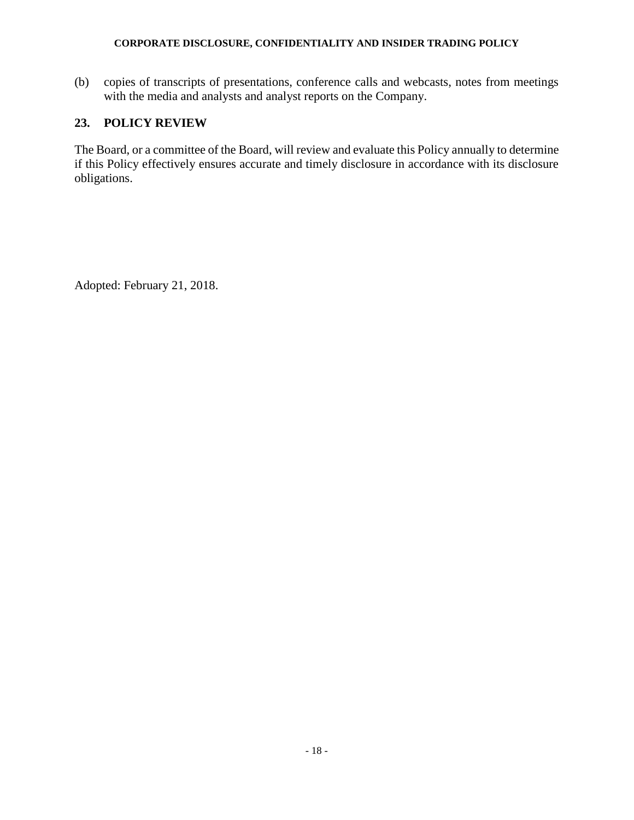(b) copies of transcripts of presentations, conference calls and webcasts, notes from meetings with the media and analysts and analyst reports on the Company.

# **23. POLICY REVIEW**

The Board, or a committee of the Board, will review and evaluate this Policy annually to determine if this Policy effectively ensures accurate and timely disclosure in accordance with its disclosure obligations.

Adopted: February 21, 2018.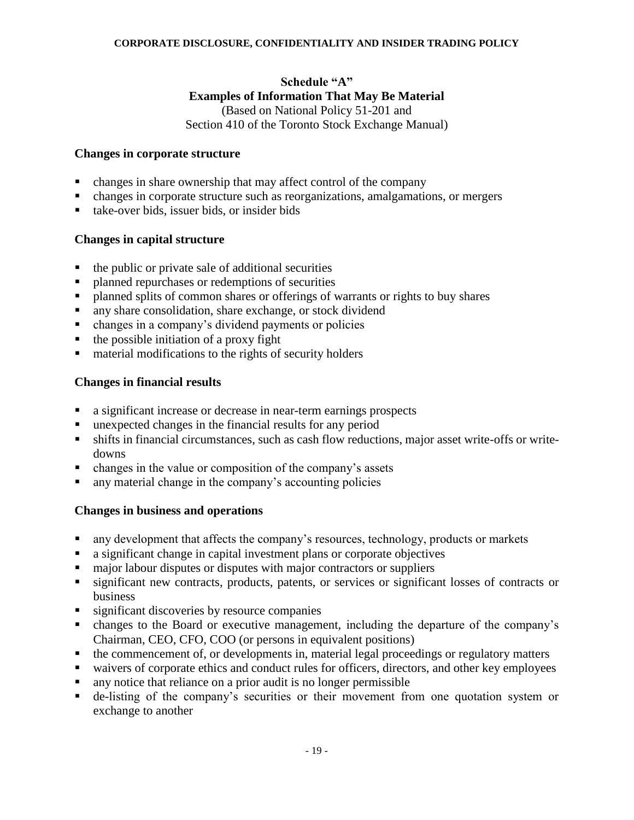# **Schedule "A" Examples of Information That May Be Material** (Based on National Policy 51-201 and

### Section 410 of the Toronto Stock Exchange Manual)

### **Changes in corporate structure**

- changes in share ownership that may affect control of the company
- changes in corporate structure such as reorganizations, amalgamations, or mergers
- take-over bids, issuer bids, or insider bids

### **Changes in capital structure**

- the public or private sale of additional securities
- planned repurchases or redemptions of securities
- **•** planned splits of common shares or offerings of warrants or rights to buy shares
- any share consolidation, share exchange, or stock dividend
- changes in a company's dividend payments or policies
- the possible initiation of a proxy fight
- material modifications to the rights of security holders

## **Changes in financial results**

- a significant increase or decrease in near-term earnings prospects
- unexpected changes in the financial results for any period
- **Example 1** shifts in financial circumstances, such as cash flow reductions, major asset write-offs or writedowns
- changes in the value or composition of the company's assets
- any material change in the company's accounting policies

### **Changes in business and operations**

- any development that affects the company's resources, technology, products or markets
- a significant change in capital investment plans or corporate objectives
- major labour disputes or disputes with major contractors or suppliers
- significant new contracts, products, patents, or services or significant losses of contracts or business
- **Example 1** significant discoveries by resource companies
- changes to the Board or executive management, including the departure of the company's Chairman, CEO, CFO, COO (or persons in equivalent positions)
- the commencement of, or developments in, material legal proceedings or regulatory matters
- waivers of corporate ethics and conduct rules for officers, directors, and other key employees
- any notice that reliance on a prior audit is no longer permissible
- de-listing of the company's securities or their movement from one quotation system or exchange to another